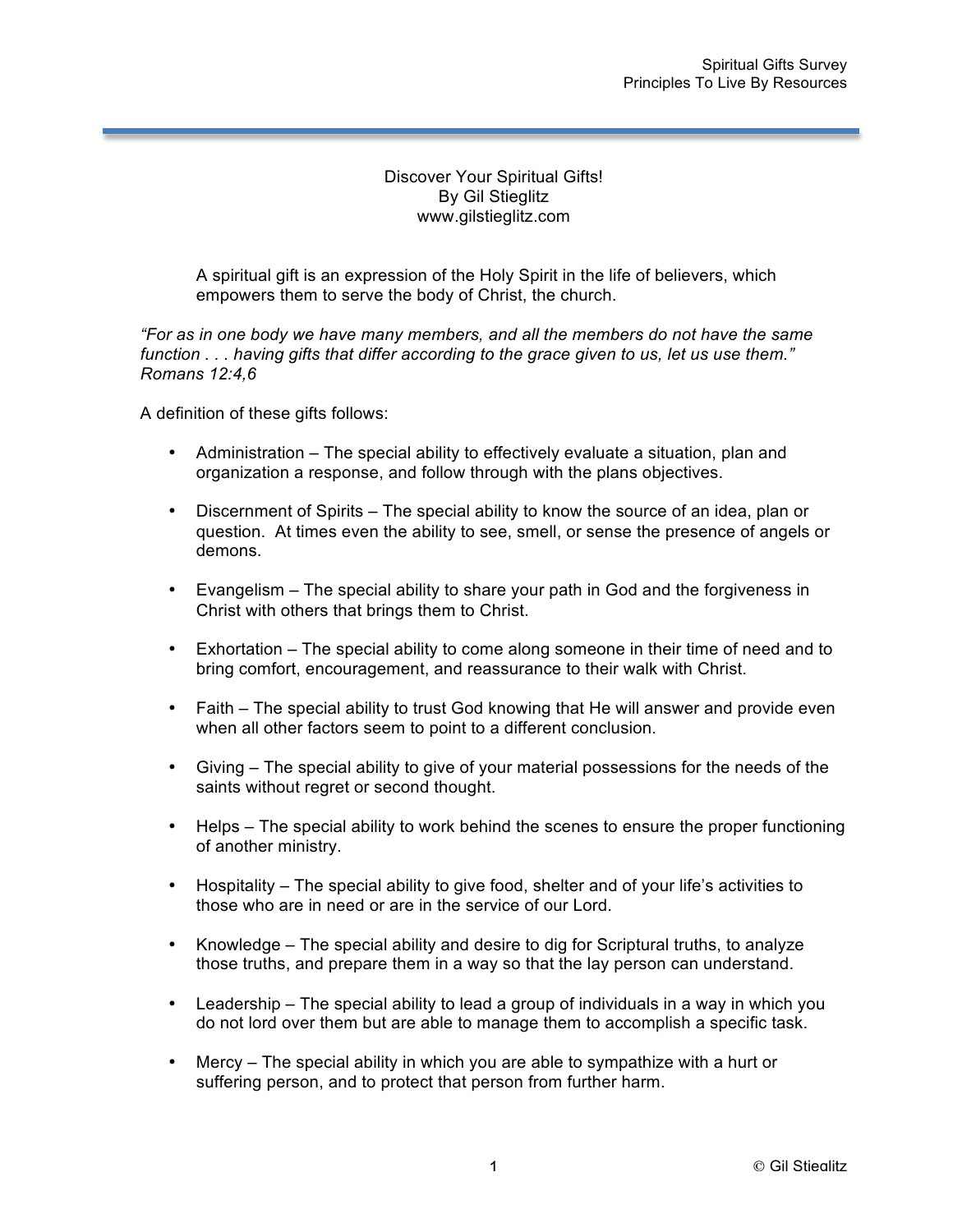## Discover Your Spiritual Gifts! By Gil Stieglitz www.gilstieglitz.com

A spiritual gift is an expression of the Holy Spirit in the life of believers, which empowers them to serve the body of Christ, the church.

*"For as in one body we have many members, and all the members do not have the same function . . . having gifts that differ according to the grace given to us, let us use them." Romans 12:4,6*

A definition of these gifts follows:

- Administration The special ability to effectively evaluate a situation, plan and organization a response, and follow through with the plans objectives.
- Discernment of Spirits The special ability to know the source of an idea, plan or question. At times even the ability to see, smell, or sense the presence of angels or demons.
- Evangelism The special ability to share your path in God and the forgiveness in Christ with others that brings them to Christ.
- Exhortation The special ability to come along someone in their time of need and to bring comfort, encouragement, and reassurance to their walk with Christ.
- Faith The special ability to trust God knowing that He will answer and provide even when all other factors seem to point to a different conclusion.
- Giving The special ability to give of your material possessions for the needs of the saints without regret or second thought.
- Helps The special ability to work behind the scenes to ensure the proper functioning of another ministry.
- Hospitality The special ability to give food, shelter and of your life's activities to those who are in need or are in the service of our Lord.
- Knowledge The special ability and desire to dig for Scriptural truths, to analyze those truths, and prepare them in a way so that the lay person can understand.
- Leadership The special ability to lead a group of individuals in a way in which you do not lord over them but are able to manage them to accomplish a specific task.
- Mercy The special ability in which you are able to sympathize with a hurt or suffering person, and to protect that person from further harm.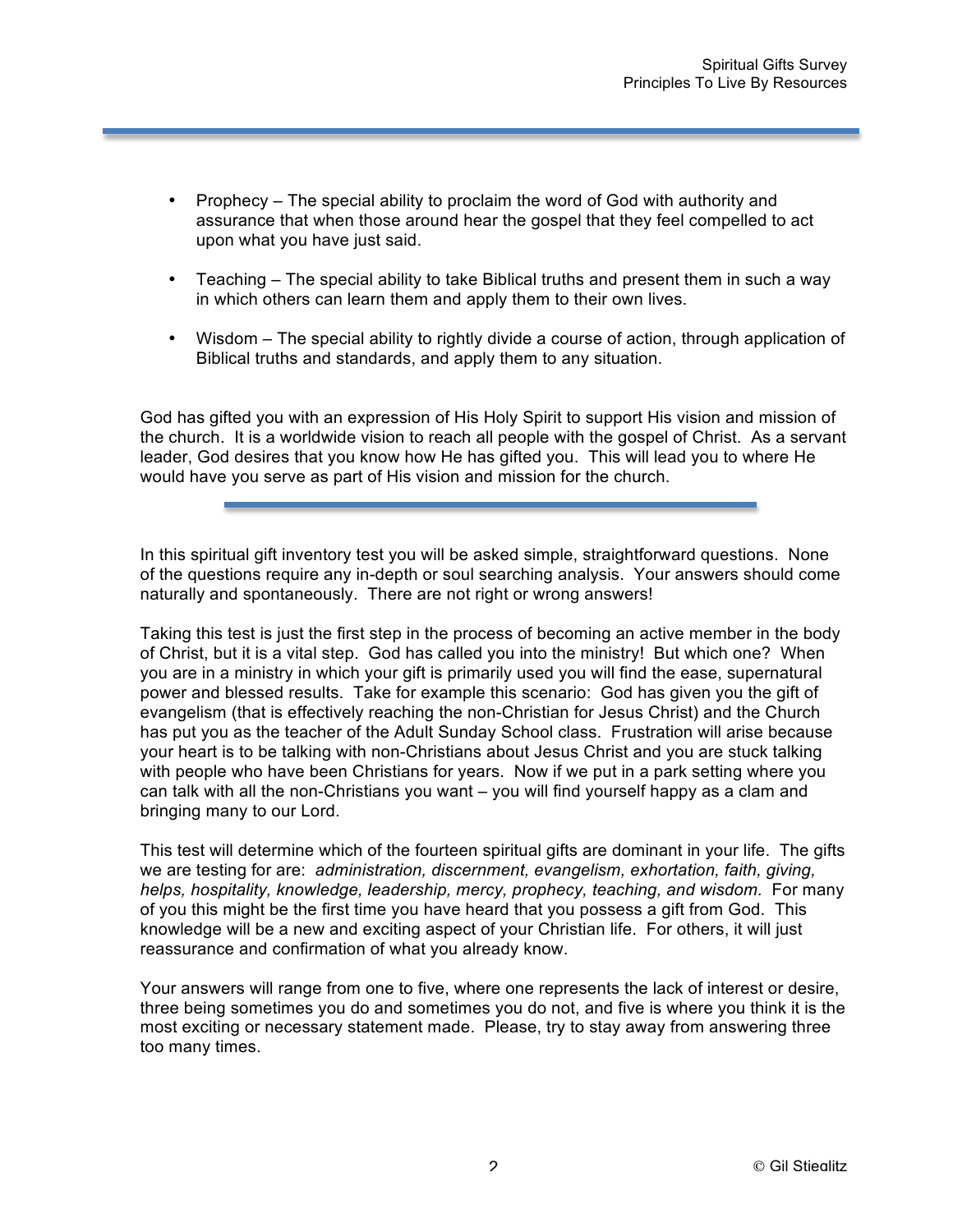- Prophecy The special ability to proclaim the word of God with authority and assurance that when those around hear the gospel that they feel compelled to act upon what you have just said.
- Teaching The special ability to take Biblical truths and present them in such a way in which others can learn them and apply them to their own lives.
- Wisdom The special ability to rightly divide a course of action, through application of Biblical truths and standards, and apply them to any situation.

God has gifted you with an expression of His Holy Spirit to support His vision and mission of the church. It is a worldwide vision to reach all people with the gospel of Christ. As a servant leader, God desires that you know how He has gifted you. This will lead you to where He would have you serve as part of His vision and mission for the church.

In this spiritual gift inventory test you will be asked simple, straightforward questions. None of the questions require any in-depth or soul searching analysis. Your answers should come naturally and spontaneously. There are not right or wrong answers!

Taking this test is just the first step in the process of becoming an active member in the body of Christ, but it is a vital step. God has called you into the ministry! But which one? When you are in a ministry in which your gift is primarily used you will find the ease, supernatural power and blessed results. Take for example this scenario: God has given you the gift of evangelism (that is effectively reaching the non-Christian for Jesus Christ) and the Church has put you as the teacher of the Adult Sunday School class. Frustration will arise because your heart is to be talking with non-Christians about Jesus Christ and you are stuck talking with people who have been Christians for years. Now if we put in a park setting where you can talk with all the non-Christians you want – you will find yourself happy as a clam and bringing many to our Lord.

This test will determine which of the fourteen spiritual gifts are dominant in your life. The gifts we are testing for are: *administration, discernment, evangelism, exhortation, faith, giving,*  helps, hospitality, knowledge, leadership, mercy, prophecy, teaching, and wisdom. For many of you this might be the first time you have heard that you possess a gift from God. This knowledge will be a new and exciting aspect of your Christian life. For others, it will just reassurance and confirmation of what you already know.

Your answers will range from one to five, where one represents the lack of interest or desire, three being sometimes you do and sometimes you do not, and five is where you think it is the most exciting or necessary statement made. Please, try to stay away from answering three too many times.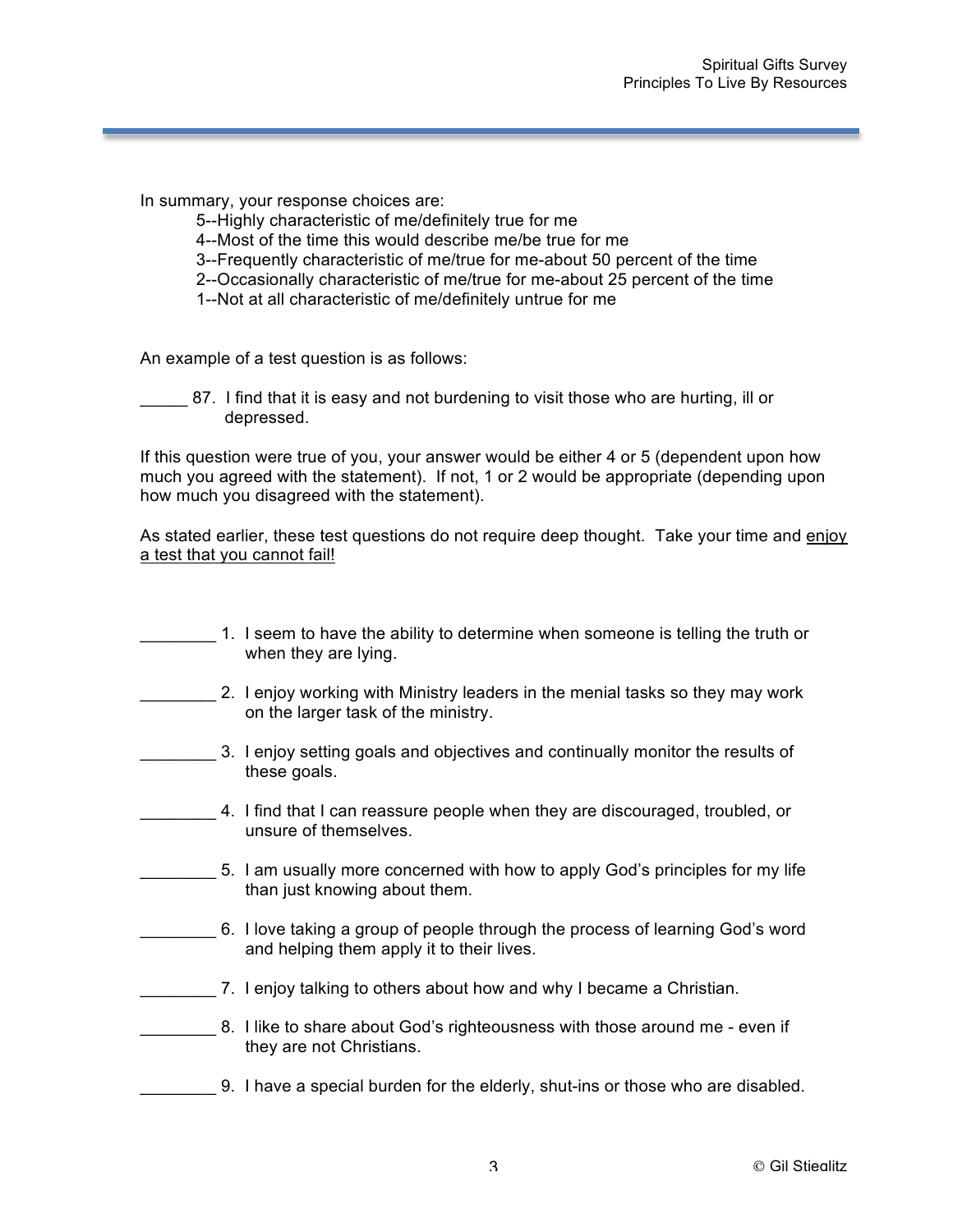- 5--Highly characteristic of me/definitely true for me
- 4--Most of the time this would describe me/be true for me
- 3--Frequently characteristic of me/true for me-about 50 percent of the time
- 2--Occasionally characteristic of me/true for me-about 25 percent of the time
- 1--Not at all characteristic of me/definitely untrue for me

An example of a test question is as follows:

\_\_\_\_\_ 87. I find that it is easy and not burdening to visit those who are hurting, ill or depressed.

If this question were true of you, your answer would be either 4 or 5 (dependent upon how much you agreed with the statement). If not, 1 or 2 would be appropriate (depending upon how much you disagreed with the statement).

As stated earlier, these test questions do not require deep thought. Take your time and enjoy a test that you cannot fail!

- \_\_\_\_\_\_\_\_ 1. I seem to have the ability to determine when someone is telling the truth or when they are lying.
- 2. I enjoy working with Ministry leaders in the menial tasks so they may work on the larger task of the ministry.
- **2. 2. I enjoy setting goals and objectives and continually monitor the results of** these goals.
- \_\_\_\_\_\_\_\_ 4. I find that I can reassure people when they are discouraged, troubled, or unsure of themselves.
- 5. I am usually more concerned with how to apply God's principles for my life than just knowing about them.
- \_\_\_\_\_\_\_\_ 6. I love taking a group of people through the process of learning God's word and helping them apply it to their lives.
- \_\_\_\_\_\_\_\_ 7. I enjoy talking to others about how and why I became a Christian.
- 18. I like to share about God's righteousness with those around me even if they are not Christians.
- \_\_\_\_\_\_\_\_ 9. I have a special burden for the elderly, shut-ins or those who are disabled.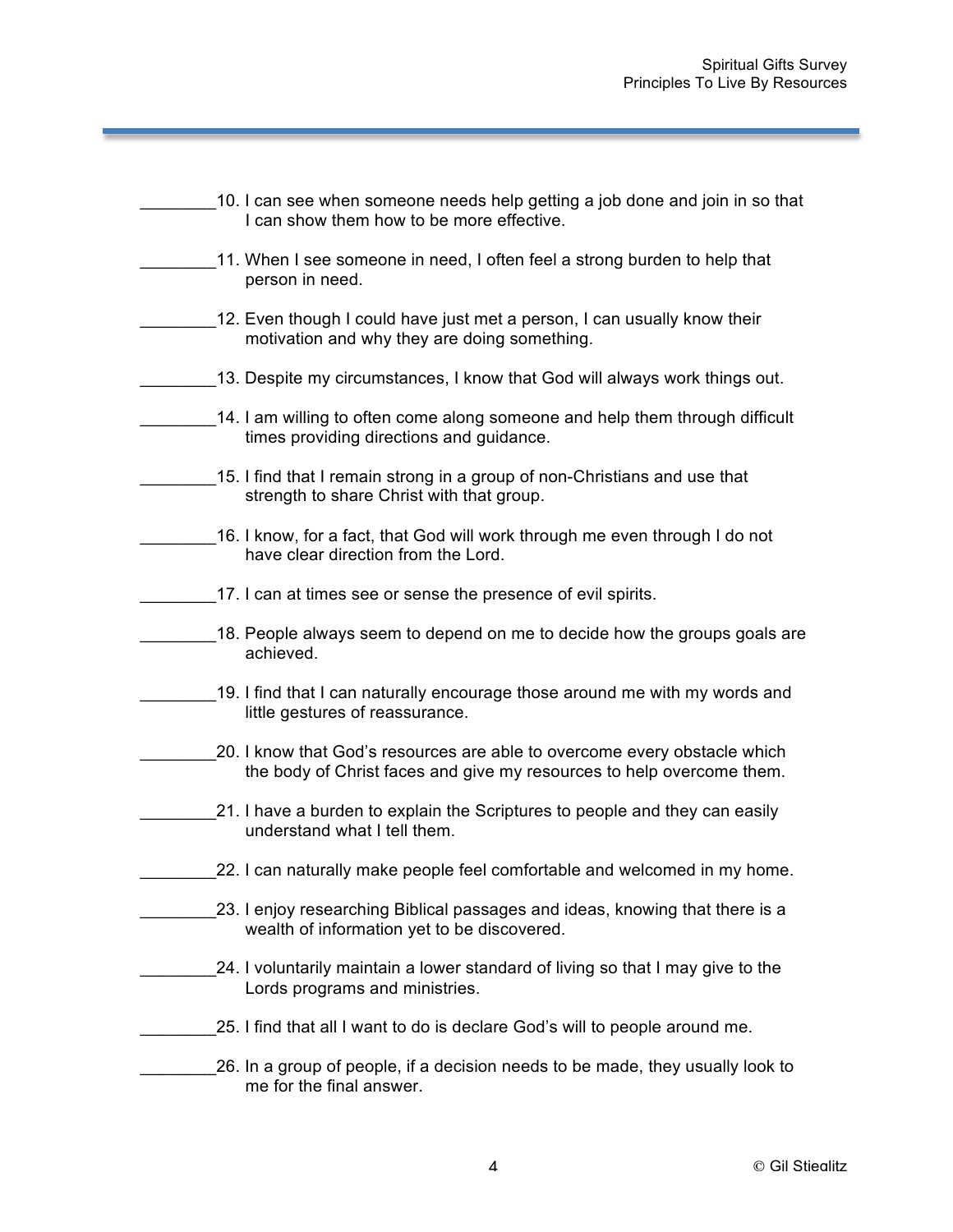|           | 10. I can see when someone needs help getting a job done and join in so that<br>I can show them how to be more effective.                          |
|-----------|----------------------------------------------------------------------------------------------------------------------------------------------------|
|           | 11. When I see someone in need, I often feel a strong burden to help that<br>person in need.                                                       |
|           | 12. Even though I could have just met a person, I can usually know their<br>motivation and why they are doing something.                           |
|           | 13. Despite my circumstances, I know that God will always work things out.                                                                         |
|           | 14. I am willing to often come along someone and help them through difficult<br>times providing directions and guidance.                           |
|           | 15. I find that I remain strong in a group of non-Christians and use that<br>strength to share Christ with that group.                             |
|           | 16. I know, for a fact, that God will work through me even through I do not<br>have clear direction from the Lord.                                 |
|           | 17. I can at times see or sense the presence of evil spirits.                                                                                      |
| achieved. | 18. People always seem to depend on me to decide how the groups goals are                                                                          |
|           | 19. I find that I can naturally encourage those around me with my words and<br>little gestures of reassurance.                                     |
|           | 20. I know that God's resources are able to overcome every obstacle which<br>the body of Christ faces and give my resources to help overcome them. |
|           | 21. I have a burden to explain the Scriptures to people and they can easily<br>understand what I tell them.                                        |
|           | 22. I can naturally make people feel comfortable and welcomed in my home.                                                                          |
|           | 23. I enjoy researching Biblical passages and ideas, knowing that there is a<br>wealth of information yet to be discovered.                        |
|           | 24. I voluntarily maintain a lower standard of living so that I may give to the<br>Lords programs and ministries.                                  |
|           | 25. I find that all I want to do is declare God's will to people around me.                                                                        |
|           | 26. In a group of people, if a decision needs to be made, they usually look to<br>me for the final answer.                                         |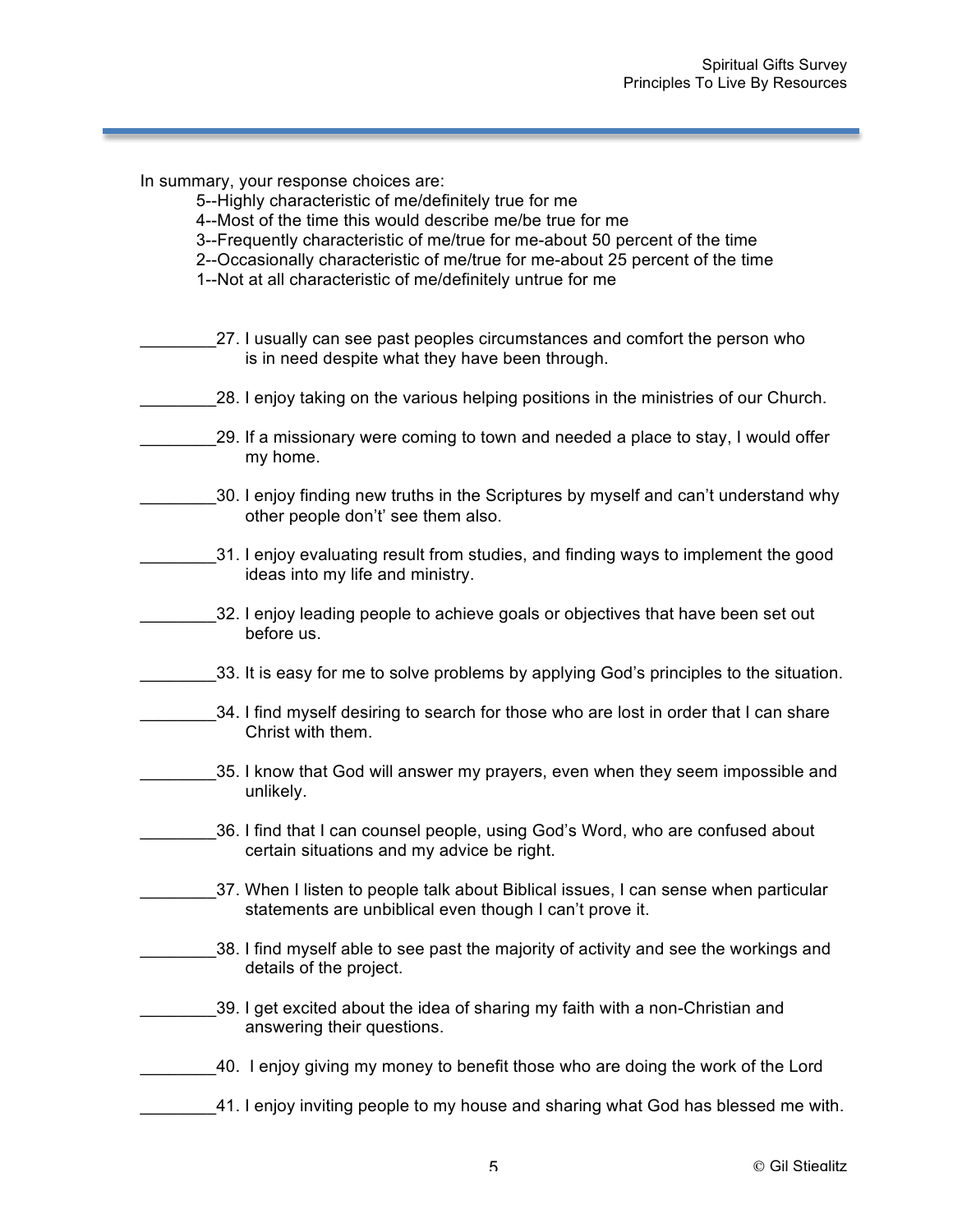- 5--Highly characteristic of me/definitely true for me
- 4--Most of the time this would describe me/be true for me
- 3--Frequently characteristic of me/true for me-about 50 percent of the time
- 2--Occasionally characteristic of me/true for me-about 25 percent of the time
- 1--Not at all characteristic of me/definitely untrue for me
- \_\_\_\_\_\_\_\_27. I usually can see past peoples circumstances and comfort the person who is in need despite what they have been through.
- \_\_\_\_\_\_\_\_28. I enjoy taking on the various helping positions in the ministries of our Church.
- 29. If a missionary were coming to town and needed a place to stay, I would offer my home.
- \_\_\_\_\_\_\_\_30. I enjoy finding new truths in the Scriptures by myself and can't understand why other people don't' see them also.
- \_31. I enjoy evaluating result from studies, and finding ways to implement the good ideas into my life and ministry.
- \_\_\_\_\_\_\_\_32. I enjoy leading people to achieve goals or objectives that have been set out before us.
- 33. It is easy for me to solve problems by applying God's principles to the situation.
- 34. I find myself desiring to search for those who are lost in order that I can share Christ with them.
- \_\_\_\_\_\_\_\_35. I know that God will answer my prayers, even when they seem impossible and unlikely.
	- \_\_\_\_\_\_\_\_36. I find that I can counsel people, using God's Word, who are confused about certain situations and my advice be right.
	- 37. When I listen to people talk about Biblical issues, I can sense when particular statements are unbiblical even though I can't prove it.
- 38. I find myself able to see past the majority of activity and see the workings and details of the project.
- \_\_\_\_\_\_\_\_39. I get excited about the idea of sharing my faith with a non-Christian and answering their questions.
- \_\_\_\_\_\_\_\_40. I enjoy giving my money to benefit those who are doing the work of the Lord
- 41. I enjoy inviting people to my house and sharing what God has blessed me with.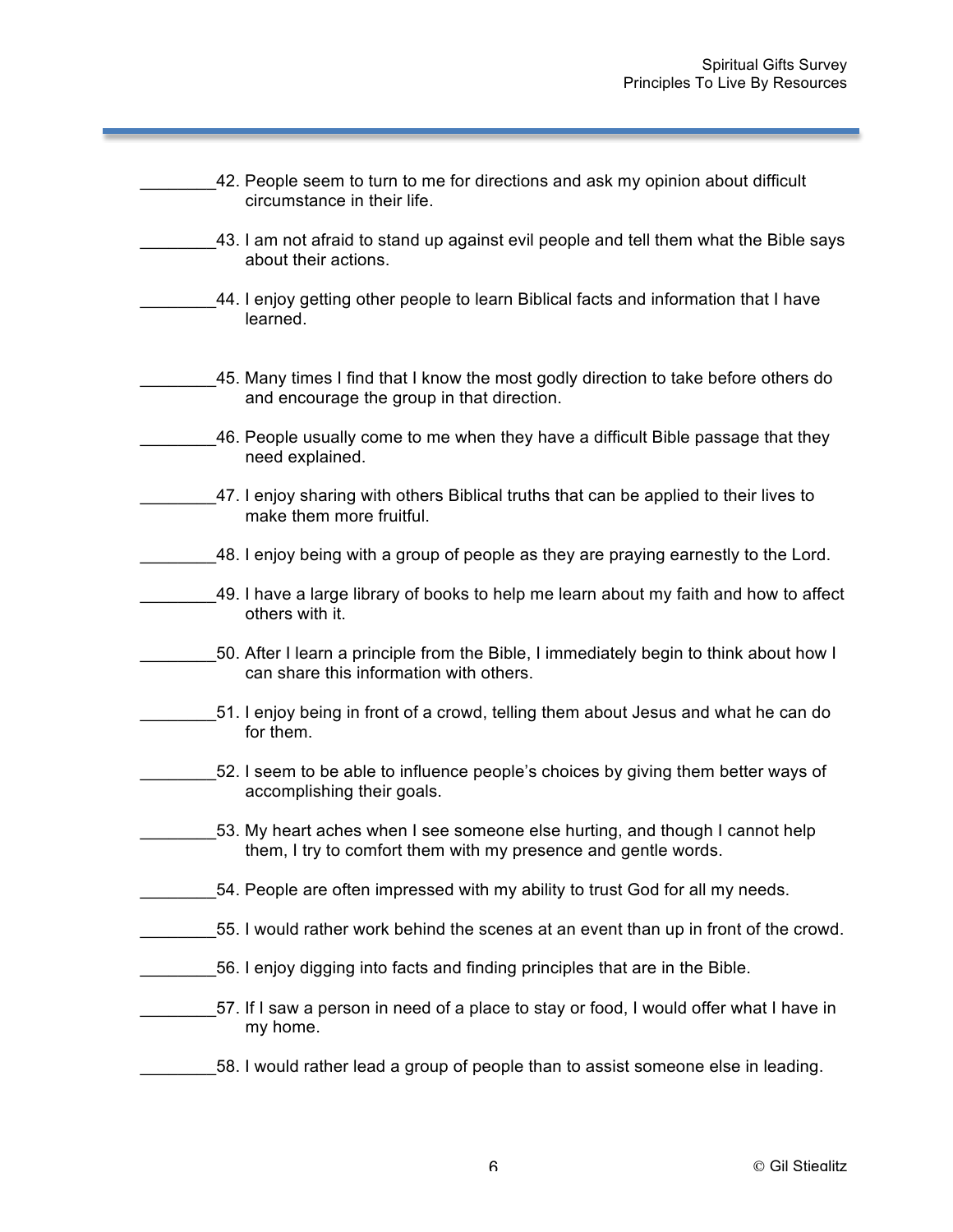| 42. People seem to turn to me for directions and ask my opinion about difficult<br>circumstance in their life.                                 |
|------------------------------------------------------------------------------------------------------------------------------------------------|
| 43. I am not afraid to stand up against evil people and tell them what the Bible says<br>about their actions.                                  |
| 44. I enjoy getting other people to learn Biblical facts and information that I have<br>learned.                                               |
| 45. Many times I find that I know the most godly direction to take before others do<br>and encourage the group in that direction.              |
| 46. People usually come to me when they have a difficult Bible passage that they<br>need explained.                                            |
| 47. I enjoy sharing with others Biblical truths that can be applied to their lives to<br>make them more fruitful.                              |
| 48. I enjoy being with a group of people as they are praying earnestly to the Lord.                                                            |
| 49. I have a large library of books to help me learn about my faith and how to affect<br>others with it.                                       |
| 50. After I learn a principle from the Bible, I immediately begin to think about how I<br>can share this information with others.              |
| 51. I enjoy being in front of a crowd, telling them about Jesus and what he can do<br>for them.                                                |
| 52. I seem to be able to influence people's choices by giving them better ways of<br>accomplishing their goals.                                |
| 53. My heart aches when I see someone else hurting, and though I cannot help<br>them, I try to comfort them with my presence and gentle words. |
| 54. People are often impressed with my ability to trust God for all my needs.                                                                  |
| 55. I would rather work behind the scenes at an event than up in front of the crowd.                                                           |
| 56. I enjoy digging into facts and finding principles that are in the Bible.                                                                   |
| 57. If I saw a person in need of a place to stay or food, I would offer what I have in<br>my home.                                             |
| 58. I would rather lead a group of people than to assist someone else in leading.                                                              |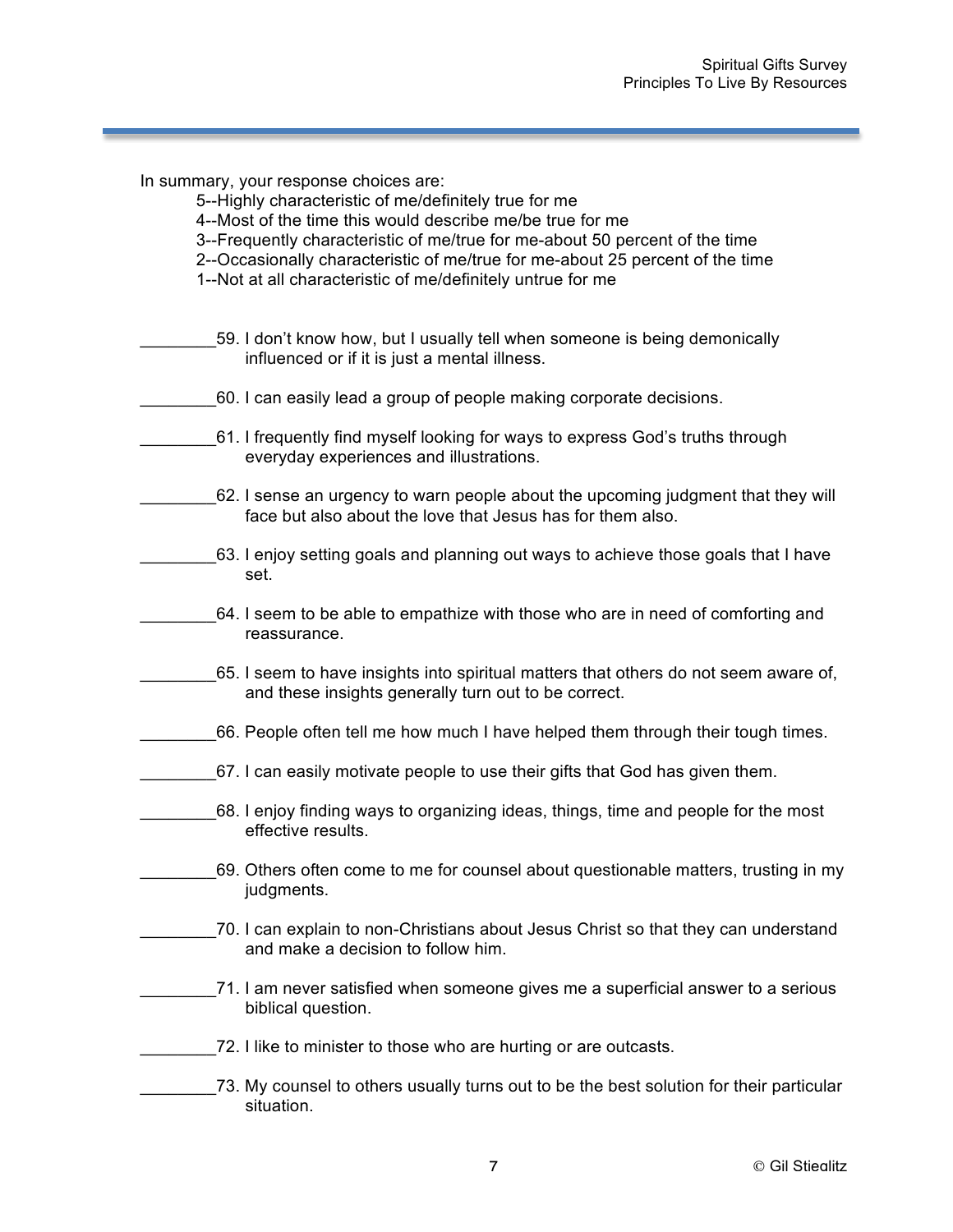- 5--Highly characteristic of me/definitely true for me
- 4--Most of the time this would describe me/be true for me
- 3--Frequently characteristic of me/true for me-about 50 percent of the time
- 2--Occasionally characteristic of me/true for me-about 25 percent of the time
- 1--Not at all characteristic of me/definitely untrue for me
- 59. I don't know how, but I usually tell when someone is being demonically influenced or if it is just a mental illness.
- \_\_\_\_\_\_\_\_60. I can easily lead a group of people making corporate decisions.
- \_\_\_\_\_\_\_\_61. I frequently find myself looking for ways to express God's truths through everyday experiences and illustrations.
- \_\_\_\_\_\_\_\_62. I sense an urgency to warn people about the upcoming judgment that they will face but also about the love that Jesus has for them also.
- \_\_\_\_\_\_\_\_63. I enjoy setting goals and planning out ways to achieve those goals that I have set.
- 64. I seem to be able to empathize with those who are in need of comforting and reassurance.
- \_\_\_\_\_\_\_\_65. I seem to have insights into spiritual matters that others do not seem aware of, and these insights generally turn out to be correct.
- 66. People often tell me how much I have helped them through their tough times.
- 67. I can easily motivate people to use their gifts that God has given them.
- \_\_\_\_\_\_\_\_68. I enjoy finding ways to organizing ideas, things, time and people for the most effective results.
- \_\_\_\_\_\_\_\_69. Others often come to me for counsel about questionable matters, trusting in my judgments.
- \_\_\_\_\_\_\_\_70. I can explain to non-Christians about Jesus Christ so that they can understand and make a decision to follow him.
- \_\_\_\_\_\_\_\_71. I am never satisfied when someone gives me a superficial answer to a serious biblical question.
- \_\_\_\_\_\_\_\_72. I like to minister to those who are hurting or are outcasts.
- \_73. My counsel to others usually turns out to be the best solution for their particular situation.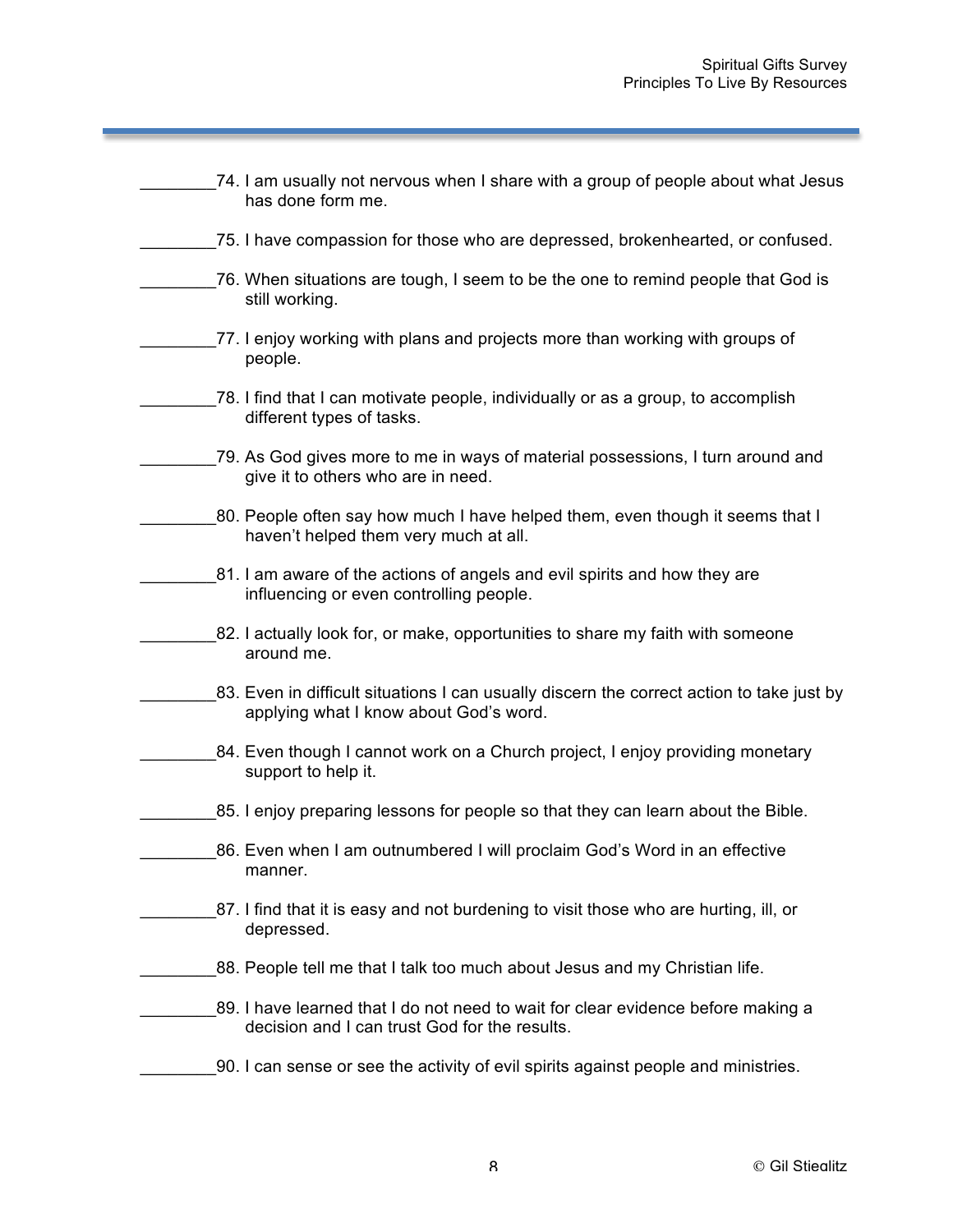| 74. I am usually not nervous when I share with a group of people about what Jesus<br>has done form me.                              |
|-------------------------------------------------------------------------------------------------------------------------------------|
| 75. I have compassion for those who are depressed, brokenhearted, or confused.                                                      |
| 76. When situations are tough, I seem to be the one to remind people that God is<br>still working.                                  |
| 77. I enjoy working with plans and projects more than working with groups of<br>people.                                             |
| 78. I find that I can motivate people, individually or as a group, to accomplish<br>different types of tasks.                       |
| 79. As God gives more to me in ways of material possessions, I turn around and<br>give it to others who are in need.                |
| 80. People often say how much I have helped them, even though it seems that I<br>haven't helped them very much at all.              |
| 81. I am aware of the actions of angels and evil spirits and how they are<br>influencing or even controlling people.                |
| 82. I actually look for, or make, opportunities to share my faith with someone<br>around me.                                        |
| 83. Even in difficult situations I can usually discern the correct action to take just by<br>applying what I know about God's word. |
| 84. Even though I cannot work on a Church project, I enjoy providing monetary<br>support to help it.                                |
| 85. I enjoy preparing lessons for people so that they can learn about the Bible.                                                    |
| 86. Even when I am outnumbered I will proclaim God's Word in an effective<br>manner.                                                |
| 87. I find that it is easy and not burdening to visit those who are hurting, ill, or<br>depressed.                                  |
| 88. People tell me that I talk too much about Jesus and my Christian life.                                                          |
| 89. I have learned that I do not need to wait for clear evidence before making a<br>decision and I can trust God for the results.   |
| 90. I can sense or see the activity of evil spirits against people and ministries.                                                  |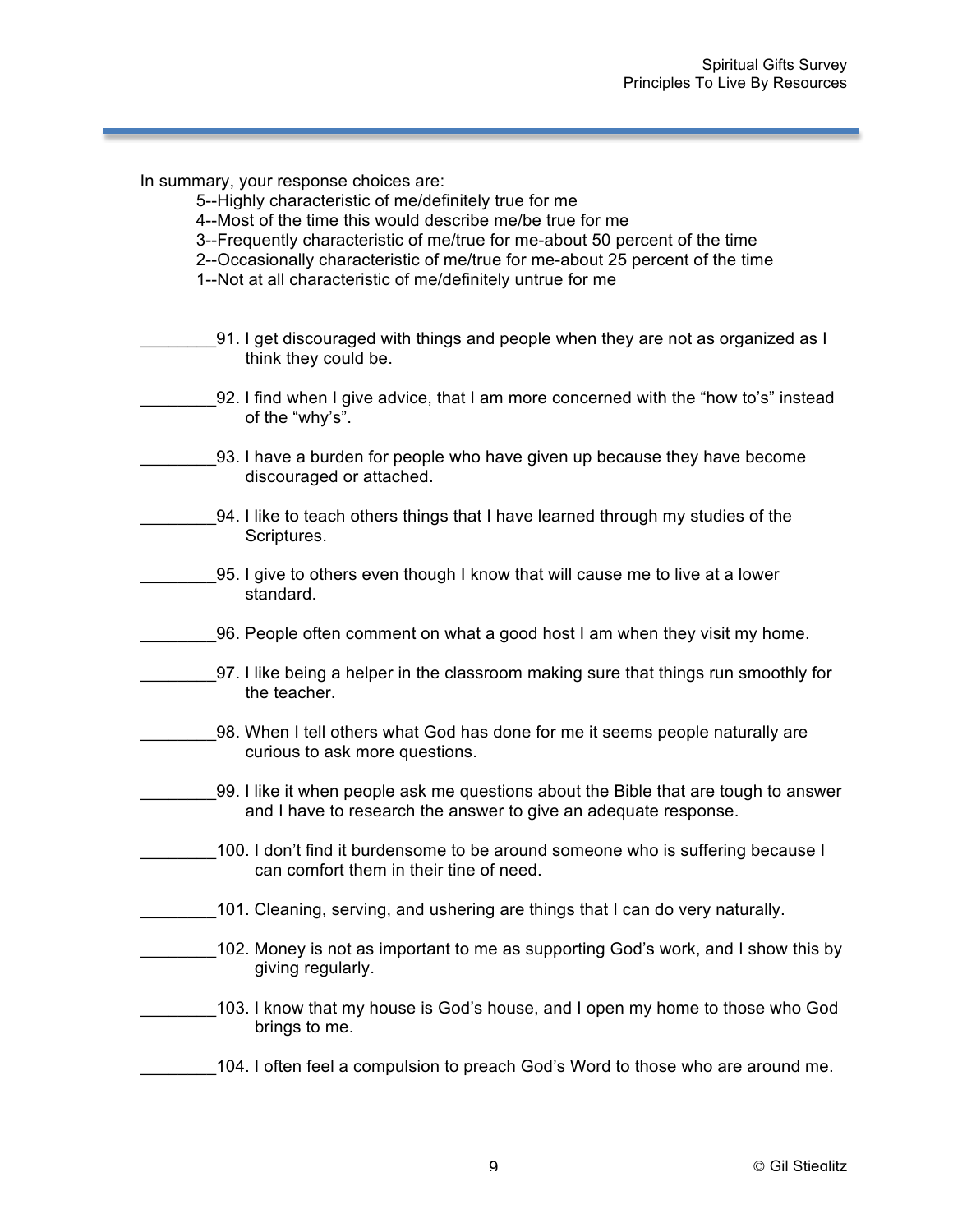- 5--Highly characteristic of me/definitely true for me
- 4--Most of the time this would describe me/be true for me
- 3--Frequently characteristic of me/true for me-about 50 percent of the time
- 2--Occasionally characteristic of me/true for me-about 25 percent of the time
- 1--Not at all characteristic of me/definitely untrue for me
- \_\_\_\_\_\_\_\_91. I get discouraged with things and people when they are not as organized as I think they could be.
- \_\_\_\_\_\_\_\_92. I find when I give advice, that I am more concerned with the "how to's" instead of the "why's".
- \_\_\_\_\_\_\_\_93. I have a burden for people who have given up because they have become discouraged or attached.
- 94. I like to teach others things that I have learned through my studies of the Scriptures.
- \_\_\_\_\_\_\_\_95. I give to others even though I know that will cause me to live at a lower standard.
- \_\_\_\_\_\_\_\_96. People often comment on what a good host I am when they visit my home.
- \_\_\_\_\_\_\_\_97. I like being a helper in the classroom making sure that things run smoothly for the teacher.
- 98. When I tell others what God has done for me it seems people naturally are curious to ask more questions.
- \_\_\_\_\_\_\_\_99. I like it when people ask me questions about the Bible that are tough to answer and I have to research the answer to give an adequate response.
- 100. I don't find it burdensome to be around someone who is suffering because I can comfort them in their tine of need.
- 101. Cleaning, serving, and ushering are things that I can do very naturally.
- 102. Money is not as important to me as supporting God's work, and I show this by giving regularly.
- \_\_\_\_\_\_\_\_103. I know that my house is God's house, and I open my home to those who God brings to me.

## \_\_\_\_\_\_\_\_104. I often feel a compulsion to preach God's Word to those who are around me.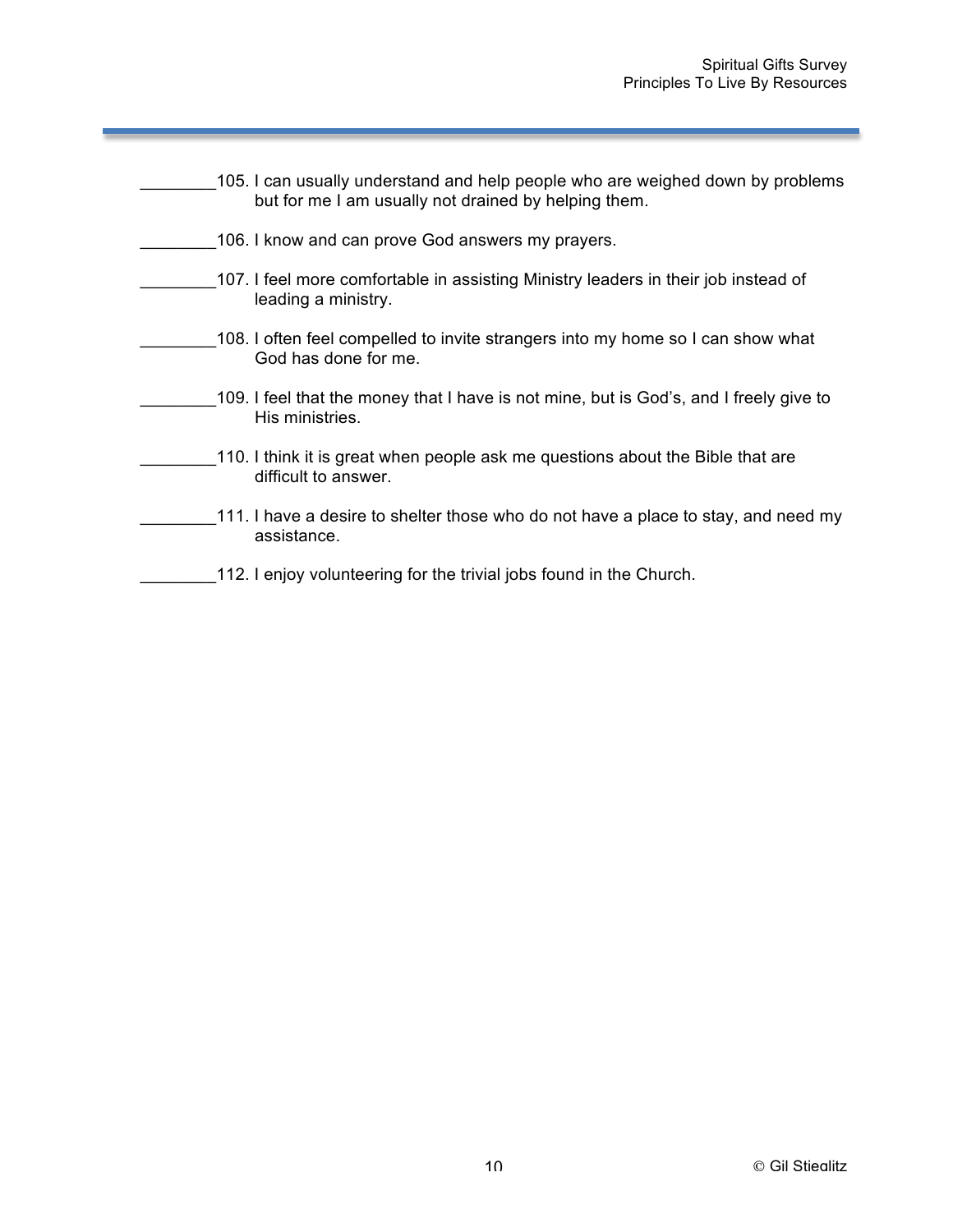| 105. I can usually understand and help people who are weighed down by problems<br>but for me I am usually not drained by helping them. |
|----------------------------------------------------------------------------------------------------------------------------------------|
| 106. I know and can prove God answers my prayers.                                                                                      |
| 107. I feel more comfortable in assisting Ministry leaders in their job instead of<br>leading a ministry.                              |
| 108. I often feel compelled to invite strangers into my home so I can show what<br>God has done for me.                                |
| 109. I feel that the money that I have is not mine, but is God's, and I freely give to<br>His ministries.                              |
| 110. I think it is great when people ask me questions about the Bible that are<br>difficult to answer.                                 |
| 111. I have a desire to shelter those who do not have a place to stay, and need my<br>assistance.                                      |
| 112. I enjoy volunteering for the trivial jobs found in the Church.                                                                    |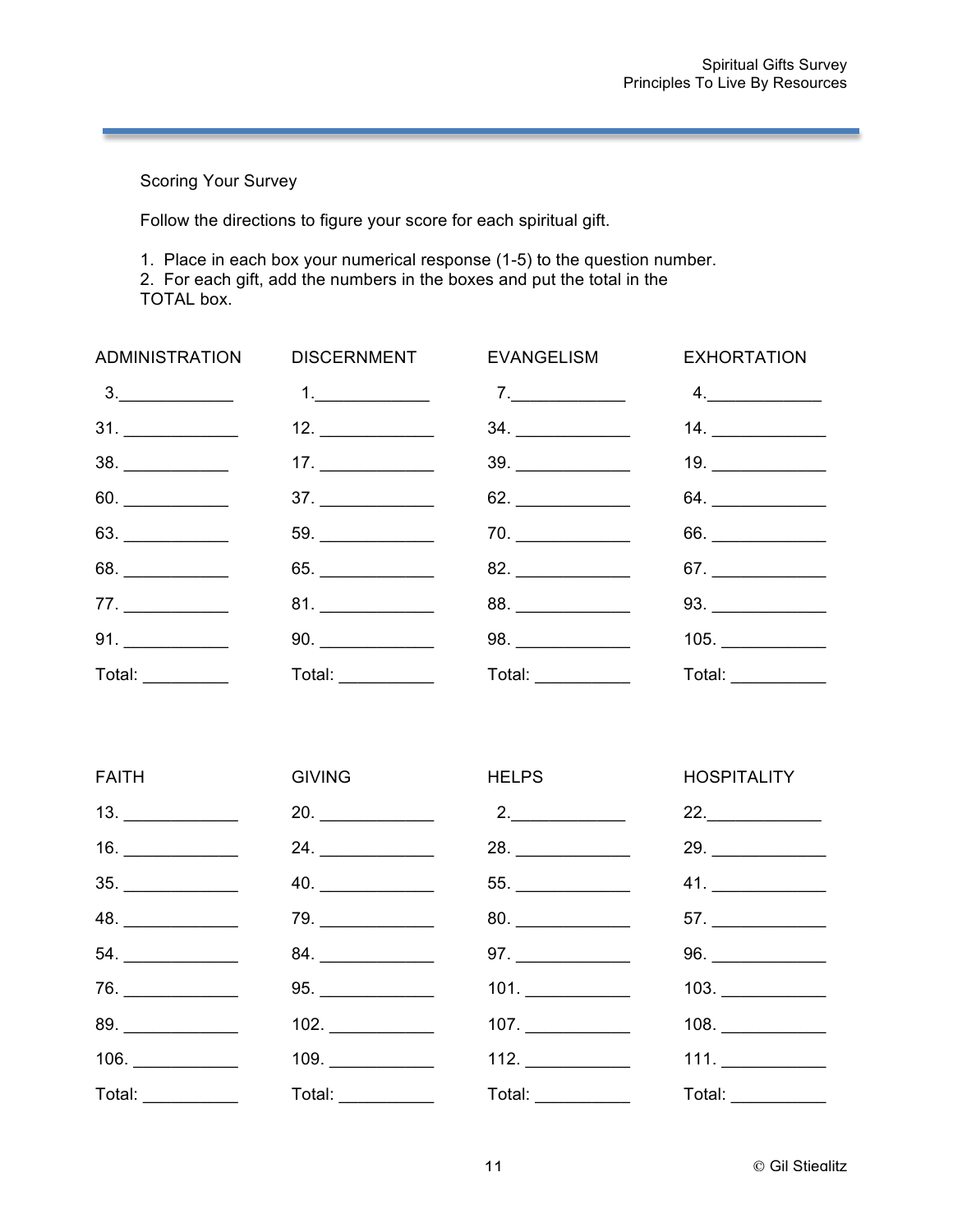Scoring Your Survey

Follow the directions to figure your score for each spiritual gift.

1. Place in each box your numerical response (1-5) to the question number.

2. For each gift, add the numbers in the boxes and put the total in the

TOTAL box.

|                   |                     | ADMINISTRATION DISCERNMENT EVANGELISM EXHORTATION |                  |
|-------------------|---------------------|---------------------------------------------------|------------------|
|                   |                     | 7.                                                | 4.               |
|                   |                     |                                                   | 14.              |
|                   |                     | $39. \underline{\hspace{2cm}}$                    | 19.              |
| 60.               | 37.                 |                                                   |                  |
|                   |                     |                                                   |                  |
|                   |                     |                                                   | 67.              |
| 77.               |                     |                                                   |                  |
|                   |                     |                                                   | 105.             |
| Total: __________ | Total: ____________ | Total: ___________                                | Total: _________ |

| <b>FAITH</b><br><b>GIVING</b><br><b>HELPS Example 2014</b>     | <b>HOSPITALITY</b>              |
|----------------------------------------------------------------|---------------------------------|
| 13.<br>$2$ .<br>20.                                            | 22.                             |
| 16.                                                            |                                 |
| 40.                                                            | 41.                             |
| 79.                                                            |                                 |
| 97.                                                            |                                 |
| 76.<br>101.                                                    | $103. \underline{\hspace{2cm}}$ |
| 107.                                                           |                                 |
| 109.<br>112.                                                   | 111.                            |
| Total: ___________<br>Total: ___________<br>Total: ___________ | Total: ___________              |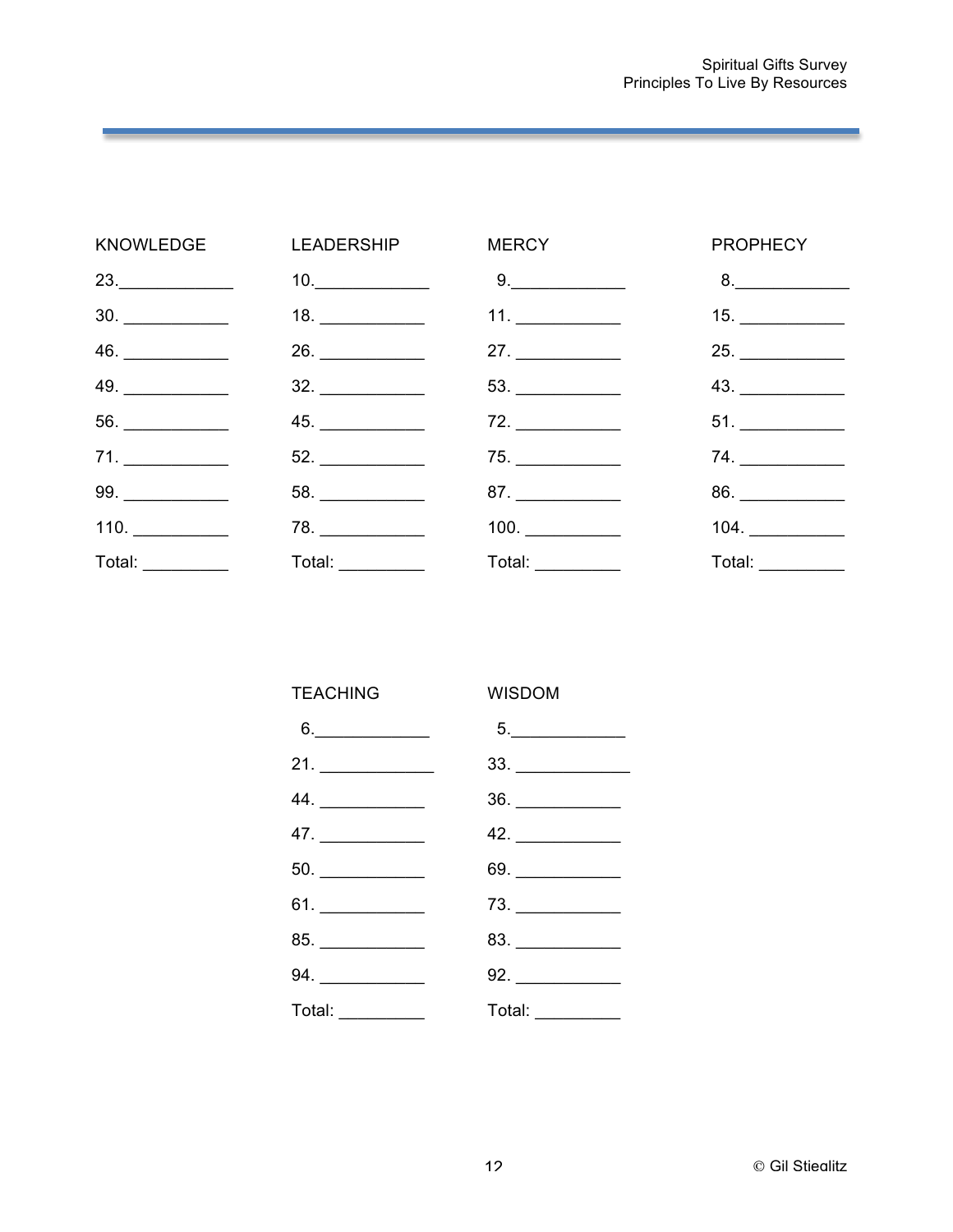|                   | KNOWLEDGE LEADERSHIP           | <b>MERCY Example 20</b>       | <b>PROPHECY</b>  |
|-------------------|--------------------------------|-------------------------------|------------------|
| 23.               | $10. \underline{\hspace{2cm}}$ | $9. \underline{\hspace{2cm}}$ | 8.               |
|                   |                                | 11.                           | 15.              |
|                   |                                | 27.                           |                  |
| 49.               |                                |                               |                  |
|                   | 45.                            | 72.                           |                  |
| 71.               |                                | 75.                           | 74.              |
|                   |                                |                               |                  |
| 110.              | 78.                            |                               | $104.$           |
| Total: __________ | Total: __________              | Total: __________             | Total: _________ |

| <b>TEACHING</b>               | <b>WISDOM</b>                                                             |
|-------------------------------|---------------------------------------------------------------------------|
| $6. \underline{\hspace{2cm}}$ | $5. \underline{\hspace{2cm}}$                                             |
|                               | $33. \underline{\hspace{2.5cm}}$                                          |
|                               | $\begin{array}{c}\n36. \quad \textcolor{blue}{\textbf{200}}\n\end{array}$ |
|                               | 42.                                                                       |
|                               | $69.$ $\overline{\qquad \qquad }$                                         |
| 61. ____________              | $73. \underline{\hspace{2cm}}$                                            |
| 85. ____________              | $83. \underline{\hspace{2cm}}$                                            |
|                               | 92.                                                                       |
| Total:                        | Total:                                                                    |